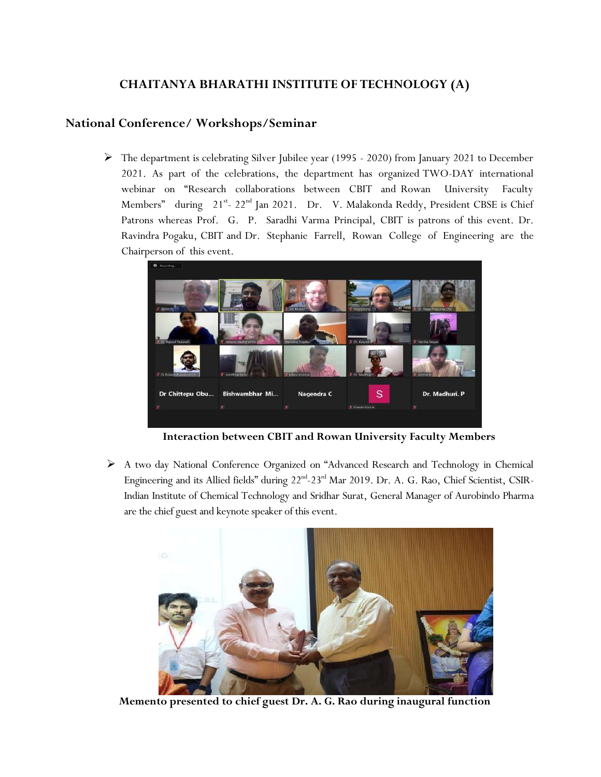## **CHAITANYA BHARATHI INSTITUTE OF TECHNOLOGY (A)**

## **National Conference/ Workshops/Seminar**

 The department is celebrating Silver Jubilee year (1995 - 2020) from January 2021 to December 2021. As part of the celebrations, the department has organized TWO-DAY international webinar on "Research collaborations between CBIT and Rowan University Faculty Members" during 21<sup>st</sup>- 22<sup>nd</sup> Jan 2021. Dr. V. Malakonda Reddy, President CBSE is Chief Patrons whereas Prof. G. P. Saradhi Varma Principal, CBIT is patrons of this event. Dr. Ravindra Pogaku, CBIT and Dr. Stephanie Farrell, Rowan College of Engineering are the Chairperson of this event.



**Interaction between CBIT and Rowan University Faculty Members**

 A two day National Conference Organized on "Advanced Research and Technology in Chemical Engineering and its Allied fields" during 22<sup>nd</sup>-23<sup>rd</sup> Mar 2019. Dr. A. G. Rao, Chief Scientist, CSIR-Indian Institute of Chemical Technology and Sridhar Surat, General Manager of Aurobindo Pharma are the chief guest and keynote speaker of this event.



**Memento presented to chief guest Dr. A. G. Rao during inaugural function**